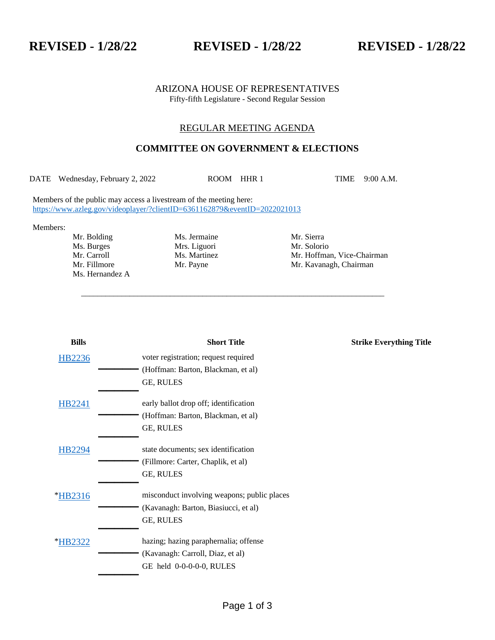**REVISED - 1/28/22 REVISED - 1/28/22 REVISED - 1/28/22**

#### ARIZONA HOUSE OF REPRESENTATIVES Fifty-fifth Legislature - Second Regular Session

## REGULAR MEETING AGENDA

# **COMMITTEE ON GOVERNMENT & ELECTIONS**

DATE Wednesday, February 2, 2022 ROOM HHR 1 TIME 9:00 A.M.

\_\_\_\_\_\_\_\_\_\_\_\_\_\_\_\_\_\_\_\_\_\_\_\_\_\_\_\_\_\_\_\_\_\_\_\_\_\_\_\_\_\_\_\_\_\_\_\_\_\_\_\_\_\_\_\_\_\_\_\_\_\_\_\_\_\_\_\_\_\_\_\_\_\_\_

Members of the public may access a livestream of the meeting here: <https://www.azleg.gov/videoplayer/?clientID=6361162879&eventID=2022021013>

Members:

Ms. Burges Mrs. Liguori Mr. Solorio Mr. Solorio Mr. Carroll Ms. Martinez Mr. Hoffman Ms. Hernandez A

Mr. Bolding Ms. Jermaine Mr. Sierra

Mr. Hoffman, Vice-Chairman Mr. Fillmore Mr. Payne Mr. And Mr. Kavanagh, Chairman

| <b>Bills</b> | <b>Short Title</b>                          | <b>Strike Everything Title</b> |
|--------------|---------------------------------------------|--------------------------------|
| HB2236       | voter registration; request required        |                                |
|              | (Hoffman: Barton, Blackman, et al)          |                                |
|              | GE, RULES                                   |                                |
| HB2241       | early ballot drop off; identification       |                                |
|              | (Hoffman: Barton, Blackman, et al)          |                                |
|              | GE, RULES                                   |                                |
| HB2294       | state documents; sex identification         |                                |
|              | (Fillmore: Carter, Chaplik, et al)          |                                |
|              | GE, RULES                                   |                                |
| *HB2316      | misconduct involving weapons; public places |                                |
|              | (Kavanagh: Barton, Biasiucci, et al)        |                                |
|              | GE, RULES                                   |                                |
| *HB2322      | hazing; hazing paraphernalia; offense       |                                |
|              | (Kavanagh: Carroll, Diaz, et al)            |                                |
|              | GE held 0-0-0-0-0, RULES                    |                                |
|              |                                             |                                |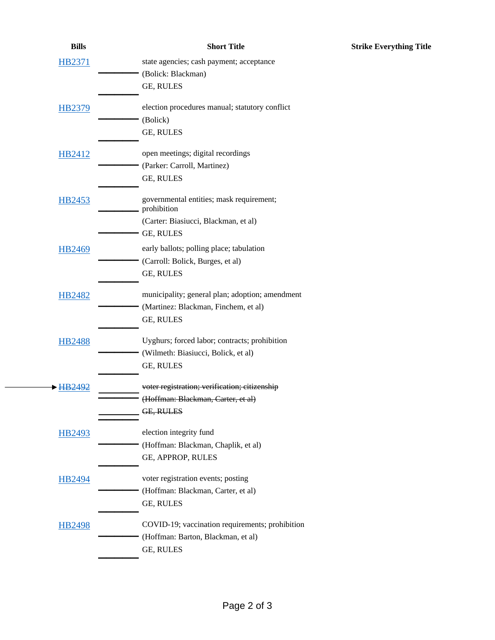| <b>Bills</b>  | <b>Short Title</b>                              | <b>Strike Everything Title</b> |
|---------------|-------------------------------------------------|--------------------------------|
| <b>HB2371</b> | state agencies; cash payment; acceptance        |                                |
|               | (Bolick: Blackman)                              |                                |
|               | GE, RULES                                       |                                |
| <b>HB2379</b> | election procedures manual; statutory conflict  |                                |
|               | (Bolick)                                        |                                |
|               | GE, RULES                                       |                                |
| HB2412        | open meetings; digital recordings               |                                |
|               | (Parker: Carroll, Martinez)                     |                                |
|               | GE, RULES                                       |                                |
| <b>HB2453</b> | governmental entities; mask requirement;        |                                |
|               | prohibition                                     |                                |
|               | (Carter: Biasiucci, Blackman, et al)            |                                |
|               | GE, RULES                                       |                                |
| <b>HB2469</b> | early ballots; polling place; tabulation        |                                |
|               | (Carroll: Bolick, Burges, et al)                |                                |
|               | GE, RULES                                       |                                |
| <b>HB2482</b> | municipality; general plan; adoption; amendment |                                |
|               | (Martinez: Blackman, Finchem, et al)            |                                |
|               | GE, RULES                                       |                                |
| <b>HB2488</b> | Uyghurs; forced labor; contracts; prohibition   |                                |
|               | (Wilmeth: Biasiucci, Bolick, et al)             |                                |
|               | GE, RULES                                       |                                |
|               | voter registration; verification; citizenship   |                                |
|               | (Hoffman: Blackman, Carter, et al)              |                                |
|               | GE, RULES                                       |                                |
| HB2493        | election integrity fund                         |                                |
|               | (Hoffman: Blackman, Chaplik, et al)             |                                |
|               | GE, APPROP, RULES                               |                                |
| <b>HB2494</b> | voter registration events; posting              |                                |
|               | (Hoffman: Blackman, Carter, et al)              |                                |
|               | GE, RULES                                       |                                |
| <b>HB2498</b> | COVID-19; vaccination requirements; prohibition |                                |
|               | (Hoffman: Barton, Blackman, et al)              |                                |
|               | GE, RULES                                       |                                |
|               |                                                 |                                |